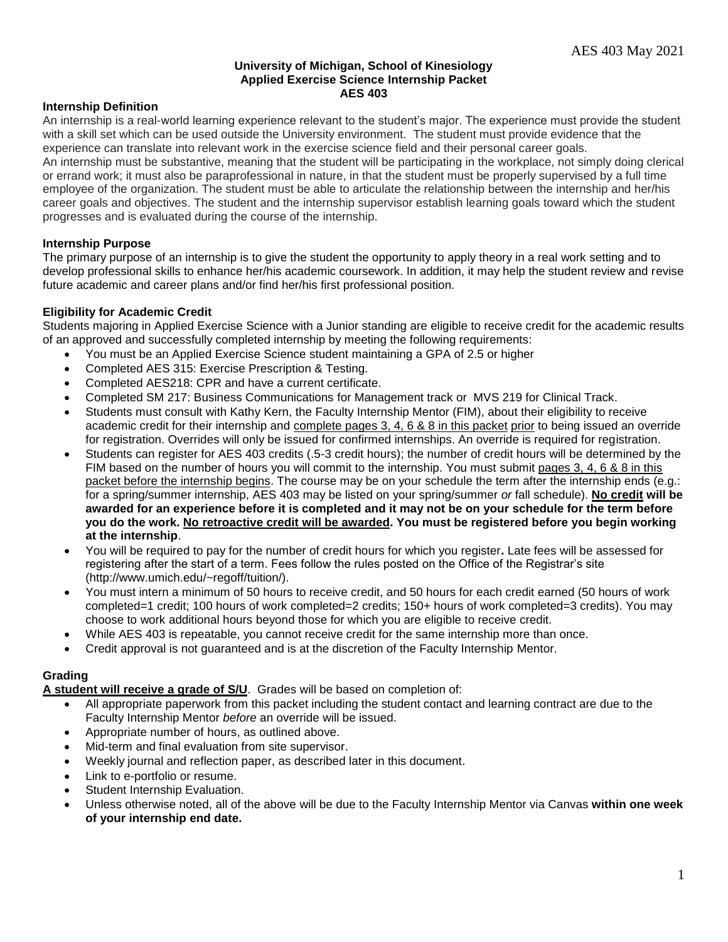#### **University of Michigan, School of Kinesiology Applied Exercise Science Internship Packet AES 403**

# **Internship Definition**

An internship is a real-world learning experience relevant to the student's major. The experience must provide the student with a skill set which can be used outside the University environment. The student must provide evidence that the experience can translate into relevant work in the exercise science field and their personal career goals.

An internship must be substantive, meaning that the student will be participating in the workplace, not simply doing clerical or errand work; it must also be paraprofessional in nature, in that the student must be properly supervised by a full time employee of the organization. The student must be able to articulate the relationship between the internship and her/his career goals and objectives. The student and the internship supervisor establish learning goals toward which the student progresses and is evaluated during the course of the internship.

# **Internship Purpose**

The primary purpose of an internship is to give the student the opportunity to apply theory in a real work setting and to develop professional skills to enhance her/his academic coursework. In addition, it may help the student review and revise future academic and career plans and/or find her/his first professional position.

# **Eligibility for Academic Credit**

Students majoring in Applied Exercise Science with a Junior standing are eligible to receive credit for the academic results of an approved and successfully completed internship by meeting the following requirements:

- You must be an Applied Exercise Science student maintaining a GPA of 2.5 or higher
- Completed AES 315: Exercise Prescription & Testing.
- Completed AES218: CPR and have a current certificate.
- Completed SM 217: Business Communications for Management track or MVS 219 for Clinical Track.
- Students must consult with Kathy Kern, the Faculty Internship Mentor (FIM), about their eligibility to receive academic credit for their internship and complete pages 3, 4, 6 & 8 in this packet prior to being issued an override for registration. Overrides will only be issued for confirmed internships. An override is required for registration.
- Students can register for AES 403 credits (.5-3 credit hours); the number of credit hours will be determined by the FIM based on the number of hours you will commit to the internship. You must submit pages 3, 4, 6 & 8 in this packet before the internship begins. The course may be on your schedule the term after the internship ends (e.g.: for a spring/summer internship, AES 403 may be listed on your spring/summer *or* fall schedule). **No credit will be awarded for an experience before it is completed and it may not be on your schedule for the term before you do the work. No retroactive credit will be awarded. You must be registered before you begin working at the internship**.
- You will be required to pay for the number of credit hours for which you register**.** Late fees will be assessed for registering after the start of a term. Fees follow the rules posted on the Office of the Registrar's site (http://www.umich.edu/~regoff/tuition/).
- You must intern a minimum of 50 hours to receive credit, and 50 hours for each credit earned (50 hours of work completed=1 credit; 100 hours of work completed=2 credits; 150+ hours of work completed=3 credits). You may choose to work additional hours beyond those for which you are eligible to receive credit.
- While AES 403 is repeatable, you cannot receive credit for the same internship more than once.
- Credit approval is not guaranteed and is at the discretion of the Faculty Internship Mentor.

#### **Grading**

**A student will receive a grade of S/U**. Grades will be based on completion of:

- All appropriate paperwork from this packet including the student contact and learning contract are due to the Faculty Internship Mentor *before* an override will be issued.
- Appropriate number of hours, as outlined above.
- Mid-term and final evaluation from site supervisor.
- Weekly journal and reflection paper, as described later in this document.
- Link to e-portfolio or resume.
- Student Internship Evaluation.
- Unless otherwise noted, all of the above will be due to the Faculty Internship Mentor via Canvas **within one week of your internship end date.**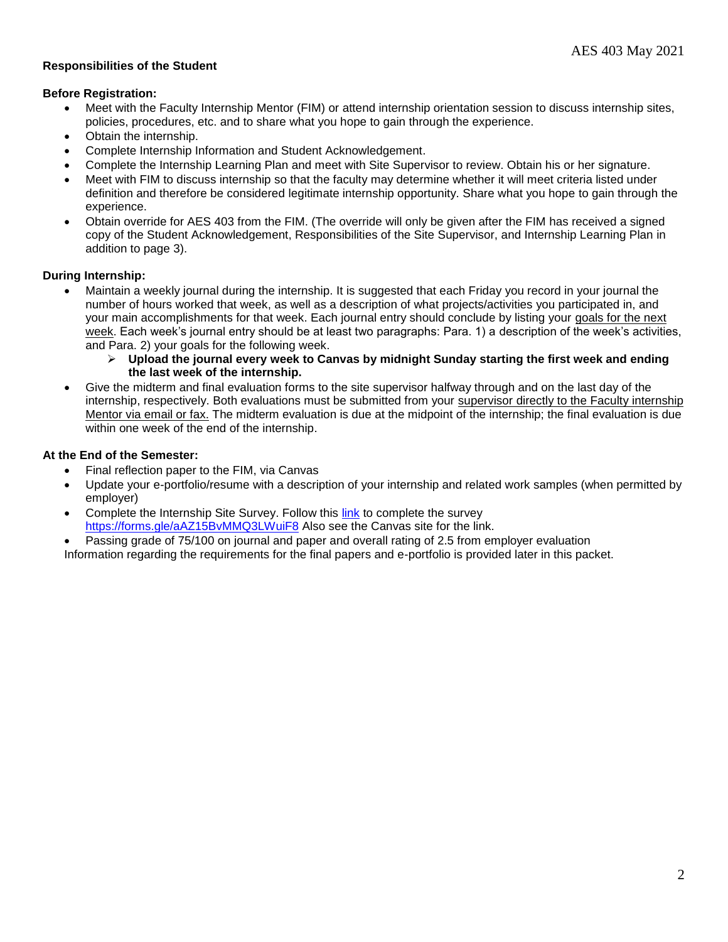# **Responsibilities of the Student**

#### **Before Registration:**

- Meet with the Faculty Internship Mentor (FIM) or attend internship orientation session to discuss internship sites, policies, procedures, etc. and to share what you hope to gain through the experience.
- Obtain the internship.
- Complete Internship Information and Student Acknowledgement.
- Complete the Internship Learning Plan and meet with Site Supervisor to review. Obtain his or her signature.
- Meet with FIM to discuss internship so that the faculty may determine whether it will meet criteria listed under definition and therefore be considered legitimate internship opportunity. Share what you hope to gain through the experience.
- Obtain override for AES 403 from the FIM. (The override will only be given after the FIM has received a signed copy of the Student Acknowledgement, Responsibilities of the Site Supervisor, and Internship Learning Plan in addition to page 3).

# **During Internship:**

- Maintain a weekly journal during the internship. It is suggested that each Friday you record in your journal the number of hours worked that week, as well as a description of what projects/activities you participated in, and your main accomplishments for that week. Each journal entry should conclude by listing your goals for the next week. Each week's journal entry should be at least two paragraphs: Para. 1) a description of the week's activities, and Para. 2) your goals for the following week.
	- **Upload the journal every week to Canvas by midnight Sunday starting the first week and ending the last week of the internship.**
- Give the midterm and final evaluation forms to the site supervisor halfway through and on the last day of the internship, respectively. Both evaluations must be submitted from your supervisor directly to the Faculty internship Mentor via email or fax. The midterm evaluation is due at the midpoint of the internship; the final evaluation is due within one week of the end of the internship.

# **At the End of the Semester:**

- Final reflection paper to the FIM, via Canvas
- Update your e-portfolio/resume with a description of your internship and related work samples (when permitted by employer)
- Complete the Internship Site Survey. Follow this [link](https://forms.gle/aAZ15BvMMQ3LWuiF8) to complete the survey <https://forms.gle/aAZ15BvMMQ3LWuiF8> Also see the Canvas site for the link.
- Passing grade of 75/100 on journal and paper and overall rating of 2.5 from employer evaluation Information regarding the requirements for the final papers and e-portfolio is provided later in this packet.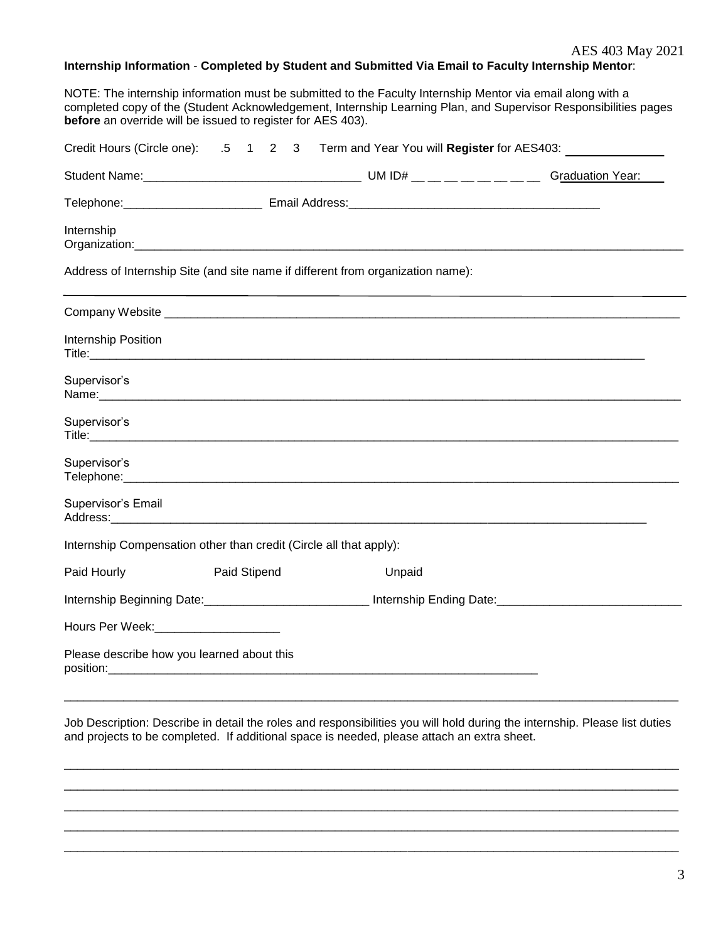# **Internship Information** - **Completed by Student and Submitted Via Email to Faculty Internship Mentor**:

NOTE: The internship information must be submitted to the Faculty Internship Mentor via email along with a completed copy of the (Student Acknowledgement, Internship Learning Plan, and Supervisor Responsibilities pages **before** an override will be issued to register for AES 403).

|                                            | Credit Hours (Circle one): .5 1 2 3 Term and Year You will Register for AES403: |                                                                                                                                                                                                                                |                                                                                                                |  |  |  |
|--------------------------------------------|---------------------------------------------------------------------------------|--------------------------------------------------------------------------------------------------------------------------------------------------------------------------------------------------------------------------------|----------------------------------------------------------------------------------------------------------------|--|--|--|
|                                            |                                                                                 |                                                                                                                                                                                                                                | <b>Graduation Year:</b>                                                                                        |  |  |  |
|                                            |                                                                                 |                                                                                                                                                                                                                                |                                                                                                                |  |  |  |
| Internship                                 |                                                                                 |                                                                                                                                                                                                                                |                                                                                                                |  |  |  |
|                                            |                                                                                 | Address of Internship Site (and site name if different from organization name):                                                                                                                                                |                                                                                                                |  |  |  |
|                                            |                                                                                 |                                                                                                                                                                                                                                |                                                                                                                |  |  |  |
| Internship Position                        |                                                                                 |                                                                                                                                                                                                                                |                                                                                                                |  |  |  |
| Supervisor's                               |                                                                                 |                                                                                                                                                                                                                                |                                                                                                                |  |  |  |
| Supervisor's                               |                                                                                 |                                                                                                                                                                                                                                |                                                                                                                |  |  |  |
| Supervisor's                               |                                                                                 |                                                                                                                                                                                                                                |                                                                                                                |  |  |  |
| Supervisor's Email                         |                                                                                 | Address: Andreas Address: Address: Address: Address: Address: Address: Address: Address: Address: Address: Address: Address: Address: Address: Address: Address: Address: Address: Address: Address: Address: Address: Address |                                                                                                                |  |  |  |
|                                            | Internship Compensation other than credit (Circle all that apply):              |                                                                                                                                                                                                                                |                                                                                                                |  |  |  |
| Paid Hourly                                | Paid Stipend                                                                    | Unpaid                                                                                                                                                                                                                         |                                                                                                                |  |  |  |
|                                            |                                                                                 |                                                                                                                                                                                                                                | Internship Beginning Date:________________________________ Internship Ending Date:____________________________ |  |  |  |
| Hours Per Week:________________________    |                                                                                 |                                                                                                                                                                                                                                |                                                                                                                |  |  |  |
| Please describe how you learned about this |                                                                                 |                                                                                                                                                                                                                                |                                                                                                                |  |  |  |
|                                            |                                                                                 |                                                                                                                                                                                                                                |                                                                                                                |  |  |  |

Job Description: Describe in detail the roles and responsibilities you will hold during the internship. Please list duties and projects to be completed. If additional space is needed, please attach an extra sheet.

\_\_\_\_\_\_\_\_\_\_\_\_\_\_\_\_\_\_\_\_\_\_\_\_\_\_\_\_\_\_\_\_\_\_\_\_\_\_\_\_\_\_\_\_\_\_\_\_\_\_\_\_\_\_\_\_\_\_\_\_\_\_\_\_\_\_\_\_\_\_\_\_\_\_\_\_\_\_\_\_\_\_\_\_\_\_\_\_\_\_\_\_\_ \_\_\_\_\_\_\_\_\_\_\_\_\_\_\_\_\_\_\_\_\_\_\_\_\_\_\_\_\_\_\_\_\_\_\_\_\_\_\_\_\_\_\_\_\_\_\_\_\_\_\_\_\_\_\_\_\_\_\_\_\_\_\_\_\_\_\_\_\_\_\_\_\_\_\_\_\_\_\_\_\_\_\_\_\_\_\_\_\_\_\_\_\_ \_\_\_\_\_\_\_\_\_\_\_\_\_\_\_\_\_\_\_\_\_\_\_\_\_\_\_\_\_\_\_\_\_\_\_\_\_\_\_\_\_\_\_\_\_\_\_\_\_\_\_\_\_\_\_\_\_\_\_\_\_\_\_\_\_\_\_\_\_\_\_\_\_\_\_\_\_\_\_\_\_\_\_\_\_\_\_\_\_\_\_\_\_  $\Box$ \_\_\_\_\_\_\_\_\_\_\_\_\_\_\_\_\_\_\_\_\_\_\_\_\_\_\_\_\_\_\_\_\_\_\_\_\_\_\_\_\_\_\_\_\_\_\_\_\_\_\_\_\_\_\_\_\_\_\_\_\_\_\_\_\_\_\_\_\_\_\_\_\_\_\_\_\_\_\_\_\_\_\_\_\_\_\_\_\_\_\_\_\_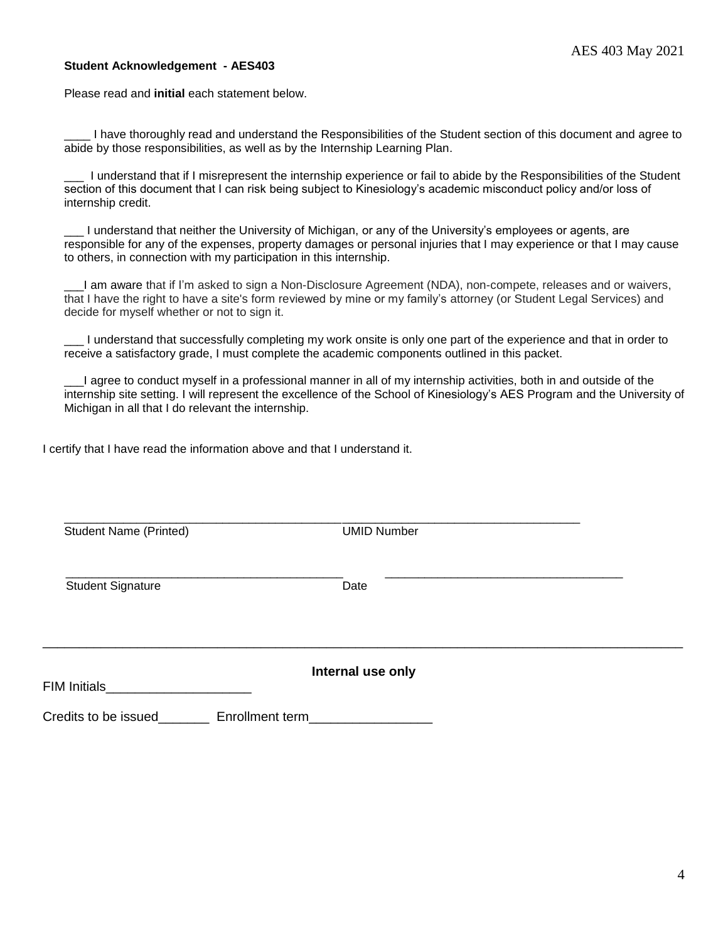#### **Student Acknowledgement - AES403**

Please read and **initial** each statement below.

\_\_\_\_ I have thoroughly read and understand the Responsibilities of the Student section of this document and agree to abide by those responsibilities, as well as by the Internship Learning Plan.

\_\_\_ I understand that if I misrepresent the internship experience or fail to abide by the Responsibilities of the Student section of this document that I can risk being subject to Kinesiology's academic misconduct policy and/or loss of internship credit.

I understand that neither the University of Michigan, or any of the University's employees or agents, are responsible for any of the expenses, property damages or personal injuries that I may experience or that I may cause to others, in connection with my participation in this internship.

\_\_\_I am aware that if I'm asked to sign a Non-Disclosure Agreement (NDA), non-compete, releases and or waivers, that I have the right to have a site's form reviewed by mine or my family's attorney (or Student Legal Services) and decide for myself whether or not to sign it.

\_\_\_ I understand that successfully completing my work onsite is only one part of the experience and that in order to receive a satisfactory grade, I must complete the academic components outlined in this packet.

\_\_\_I agree to conduct myself in a professional manner in all of my internship activities, both in and outside of the internship site setting. I will represent the excellence of the School of Kinesiology's AES Program and the University of Michigan in all that I do relevant the internship.

I certify that I have read the information above and that I understand it.

| <b>Student Name (Printed)</b> | <b>UMID Number</b> |  |
|-------------------------------|--------------------|--|
| <b>Student Signature</b>      | Date               |  |
| FIM Initials                  | Internal use only  |  |
| Credits to be issued          | Enrollment term    |  |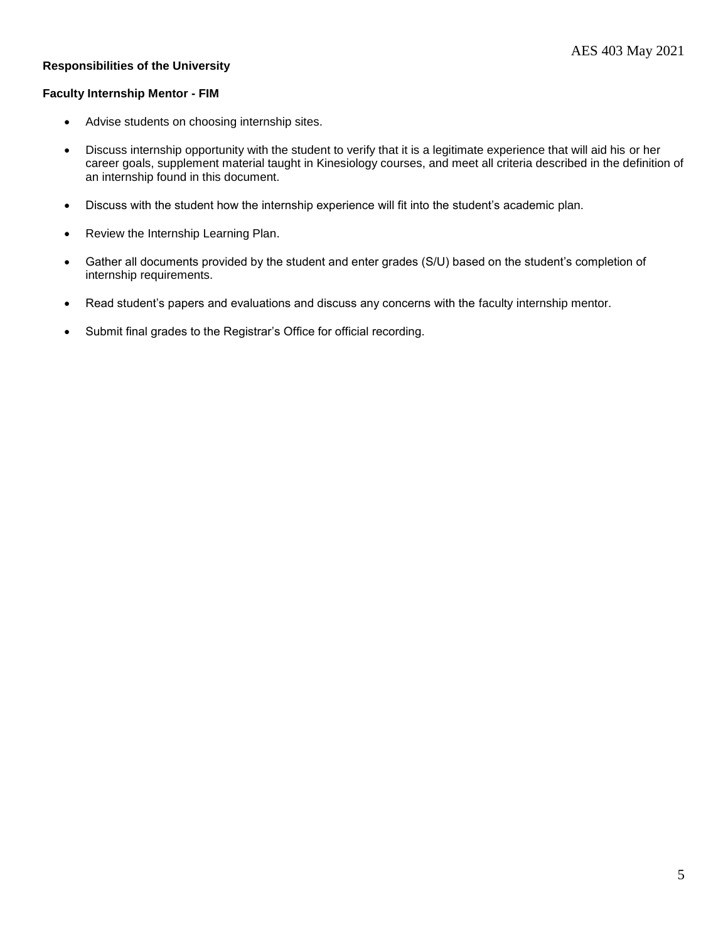# **Responsibilities of the University**

#### **Faculty Internship Mentor - FIM**

- Advise students on choosing internship sites.
- Discuss internship opportunity with the student to verify that it is a legitimate experience that will aid his or her career goals, supplement material taught in Kinesiology courses, and meet all criteria described in the definition of an internship found in this document.
- Discuss with the student how the internship experience will fit into the student's academic plan.
- Review the Internship Learning Plan.
- Gather all documents provided by the student and enter grades (S/U) based on the student's completion of internship requirements.
- Read student's papers and evaluations and discuss any concerns with the faculty internship mentor.
- Submit final grades to the Registrar's Office for official recording.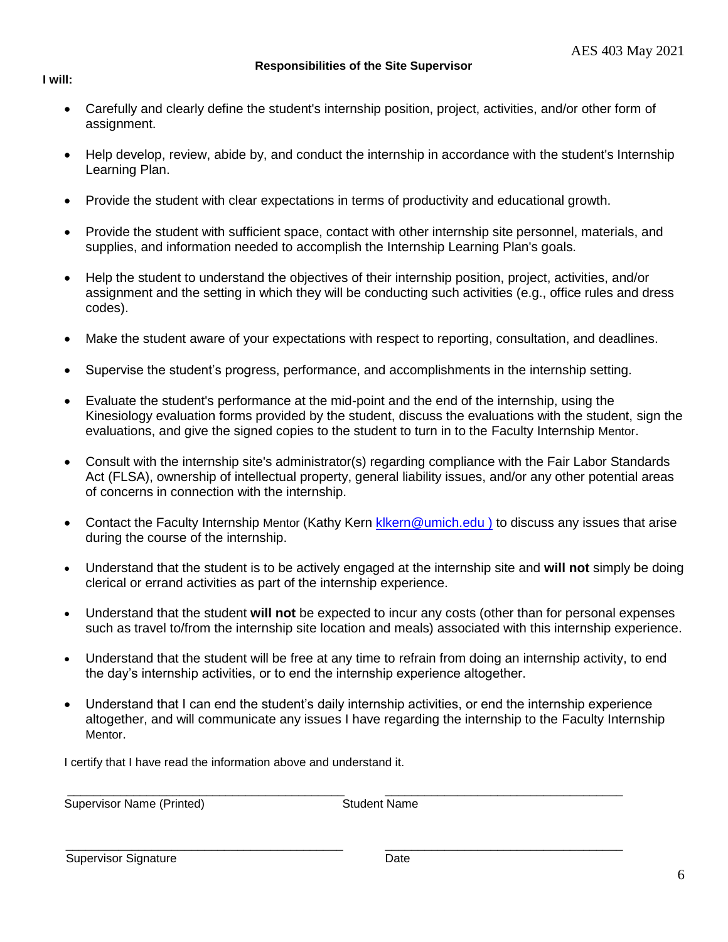**Responsibilities of the Site Supervisor**

- **I will:**
	- Carefully and clearly define the student's internship position, project, activities, and/or other form of assignment.
	- Help develop, review, abide by, and conduct the internship in accordance with the student's Internship Learning Plan.
	- Provide the student with clear expectations in terms of productivity and educational growth.
	- Provide the student with sufficient space, contact with other internship site personnel, materials, and supplies, and information needed to accomplish the Internship Learning Plan's goals.
	- Help the student to understand the objectives of their internship position, project, activities, and/or assignment and the setting in which they will be conducting such activities (e.g., office rules and dress codes).
	- Make the student aware of your expectations with respect to reporting, consultation, and deadlines.
	- Supervise the student's progress, performance, and accomplishments in the internship setting.
	- Evaluate the student's performance at the mid-point and the end of the internship, using the Kinesiology evaluation forms provided by the student, discuss the evaluations with the student, sign the evaluations, and give the signed copies to the student to turn in to the Faculty Internship Mentor.
	- Consult with the internship site's administrator(s) regarding compliance with the Fair Labor Standards Act (FLSA), ownership of intellectual property, general liability issues, and/or any other potential areas of concerns in connection with the internship.
	- Contact the Faculty Internship Mentor (Kathy Kern klkern@umich.edu) to discuss any issues that arise during the course of the internship.
	- Understand that the student is to be actively engaged at the internship site and **will not** simply be doing clerical or errand activities as part of the internship experience.
	- Understand that the student **will not** be expected to incur any costs (other than for personal expenses such as travel to/from the internship site location and meals) associated with this internship experience.
	- Understand that the student will be free at any time to refrain from doing an internship activity, to end the day's internship activities, or to end the internship experience altogether.
	- Understand that I can end the student's daily internship activities, or end the internship experience altogether, and will communicate any issues I have regarding the internship to the Faculty Internship Mentor.

\_\_\_\_\_\_\_\_\_\_\_\_\_\_\_\_\_\_\_\_\_\_\_\_\_\_\_\_\_\_\_\_\_\_\_\_\_\_\_\_\_\_ \_\_\_\_\_\_\_\_\_\_\_\_\_\_\_\_\_\_\_\_\_\_\_\_\_\_\_\_\_\_\_\_\_\_\_\_

 $\frac{1}{2}$  ,  $\frac{1}{2}$  ,  $\frac{1}{2}$  ,  $\frac{1}{2}$  ,  $\frac{1}{2}$  ,  $\frac{1}{2}$  ,  $\frac{1}{2}$  ,  $\frac{1}{2}$  ,  $\frac{1}{2}$  ,  $\frac{1}{2}$  ,  $\frac{1}{2}$  ,  $\frac{1}{2}$  ,  $\frac{1}{2}$  ,  $\frac{1}{2}$  ,  $\frac{1}{2}$  ,  $\frac{1}{2}$  ,  $\frac{1}{2}$  ,  $\frac{1}{2}$  ,  $\frac{1$ 

I certify that I have read the information above and understand it.

Supervisor Name (Printed) Supervisor Name

Supervisor Signature Date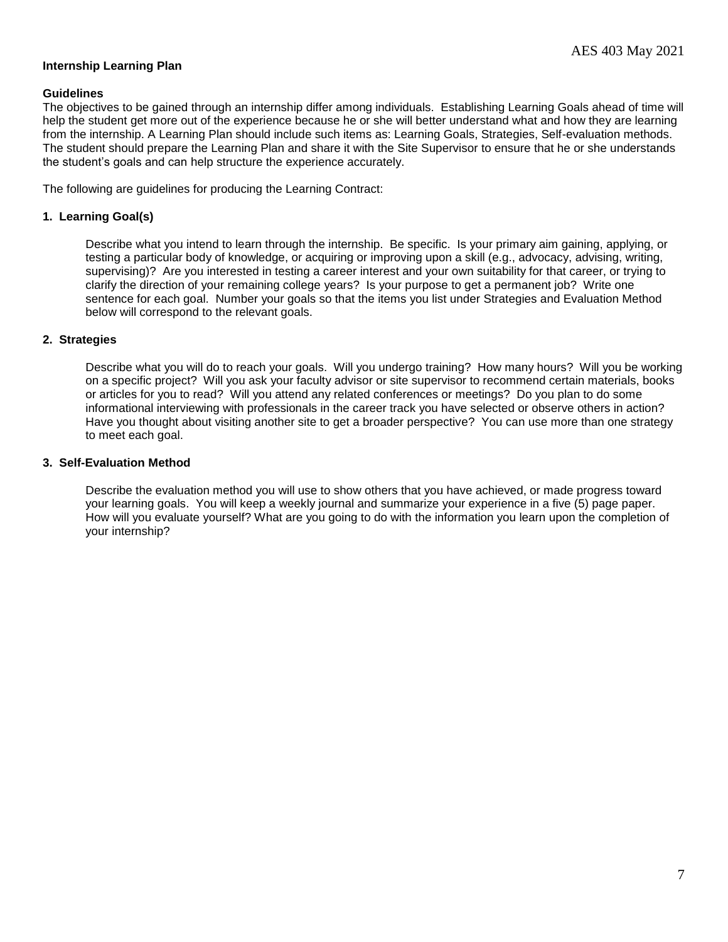# **Internship Learning Plan**

#### **Guidelines**

The objectives to be gained through an internship differ among individuals. Establishing Learning Goals ahead of time will help the student get more out of the experience because he or she will better understand what and how they are learning from the internship. A Learning Plan should include such items as: Learning Goals, Strategies, Self-evaluation methods. The student should prepare the Learning Plan and share it with the Site Supervisor to ensure that he or she understands the student's goals and can help structure the experience accurately.

The following are guidelines for producing the Learning Contract:

#### **1. Learning Goal(s)**

Describe what you intend to learn through the internship. Be specific. Is your primary aim gaining, applying, or testing a particular body of knowledge, or acquiring or improving upon a skill (e.g., advocacy, advising, writing, supervising)? Are you interested in testing a career interest and your own suitability for that career, or trying to clarify the direction of your remaining college years? Is your purpose to get a permanent job? Write one sentence for each goal. Number your goals so that the items you list under Strategies and Evaluation Method below will correspond to the relevant goals.

#### **2. Strategies**

Describe what you will do to reach your goals. Will you undergo training? How many hours? Will you be working on a specific project? Will you ask your faculty advisor or site supervisor to recommend certain materials, books or articles for you to read? Will you attend any related conferences or meetings? Do you plan to do some informational interviewing with professionals in the career track you have selected or observe others in action? Have you thought about visiting another site to get a broader perspective? You can use more than one strategy to meet each goal.

#### **3. Self-Evaluation Method**

Describe the evaluation method you will use to show others that you have achieved, or made progress toward your learning goals. You will keep a weekly journal and summarize your experience in a five (5) page paper. How will you evaluate yourself? What are you going to do with the information you learn upon the completion of your internship?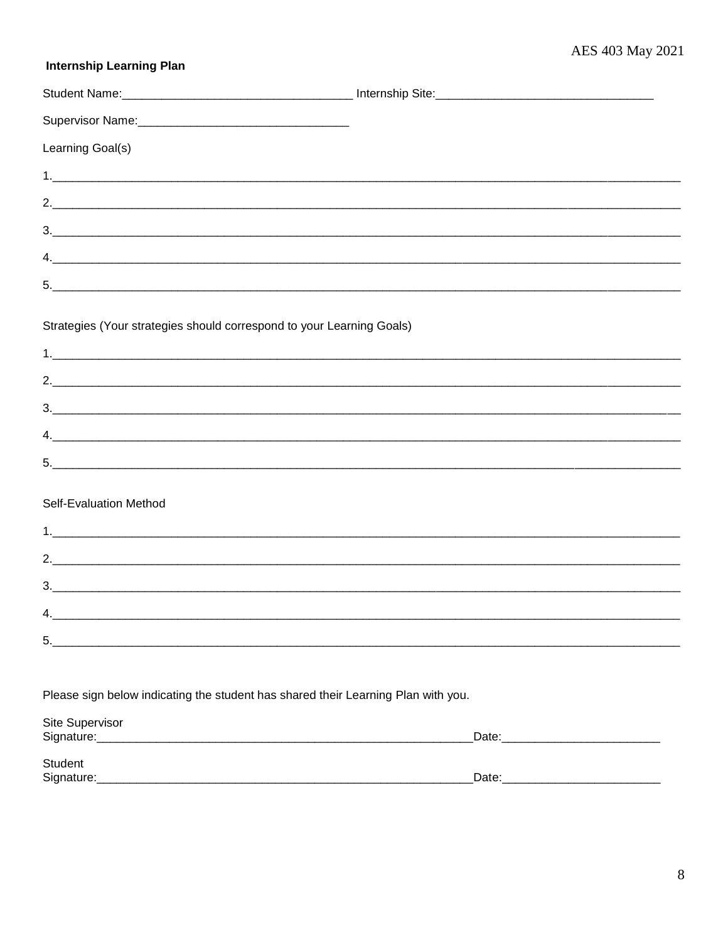# **Internship Learning Plan**

| Learning Goal(s)                                                                                            |  |
|-------------------------------------------------------------------------------------------------------------|--|
|                                                                                                             |  |
|                                                                                                             |  |
|                                                                                                             |  |
|                                                                                                             |  |
|                                                                                                             |  |
| Strategies (Your strategies should correspond to your Learning Goals)                                       |  |
|                                                                                                             |  |
|                                                                                                             |  |
|                                                                                                             |  |
|                                                                                                             |  |
| Self-Evaluation Method                                                                                      |  |
|                                                                                                             |  |
| 2.                                                                                                          |  |
|                                                                                                             |  |
| $\mathbf{\Lambda}$                                                                                          |  |
| 5.                                                                                                          |  |
| Please sign below indicating the student has shared their Learning Plan with you.<br><b>Site Supervisor</b> |  |
|                                                                                                             |  |
| Student                                                                                                     |  |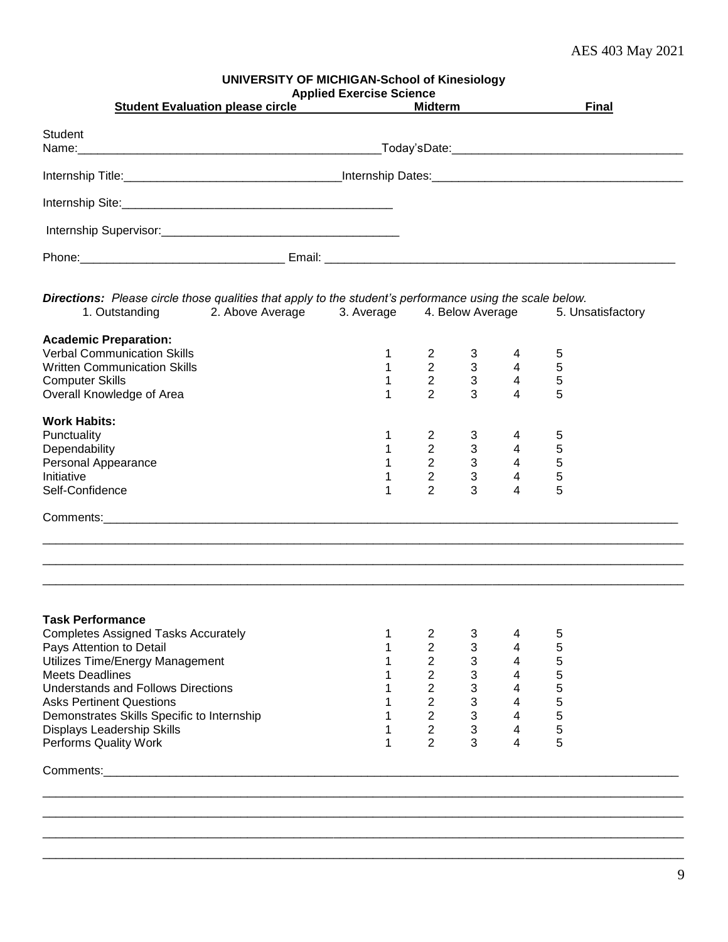# AES 403 May 2021

|                                                                                                                            | <b>UNIVERSITY OF MICHIGAN-School of Kinesiology</b><br><b>Applied Exercise Science</b> |                |                                       |                |                   |
|----------------------------------------------------------------------------------------------------------------------------|----------------------------------------------------------------------------------------|----------------|---------------------------------------|----------------|-------------------|
| <b>Student Evaluation please circle</b>                                                                                    |                                                                                        |                | <b>Midterm Example 2006</b>           |                | <b>Final</b>      |
| <b>Student</b>                                                                                                             |                                                                                        |                |                                       |                |                   |
|                                                                                                                            |                                                                                        |                |                                       |                |                   |
|                                                                                                                            |                                                                                        |                |                                       |                |                   |
|                                                                                                                            |                                                                                        |                |                                       |                |                   |
|                                                                                                                            |                                                                                        |                |                                       |                |                   |
|                                                                                                                            |                                                                                        |                |                                       |                |                   |
|                                                                                                                            |                                                                                        |                |                                       |                |                   |
| Directions: Please circle those qualities that apply to the student's performance using the scale below.<br>1. Outstanding | 2. Above Average 3. Average 4. Below Average                                           |                |                                       |                | 5. Unsatisfactory |
| <b>Academic Preparation:</b>                                                                                               |                                                                                        |                |                                       |                |                   |
| <b>Verbal Communication Skills</b>                                                                                         | $\mathbf{1}$                                                                           | $\overline{2}$ | 3                                     | 4              | 5                 |
| <b>Written Communication Skills</b>                                                                                        | $\mathbf{1}$                                                                           | $\frac{2}{2}$  | $\begin{array}{c} 3 \\ 3 \end{array}$ | $\overline{4}$ | 5                 |
| <b>Computer Skills</b>                                                                                                     | 1                                                                                      |                |                                       | $\overline{4}$ | 5                 |
| Overall Knowledge of Area                                                                                                  | 1                                                                                      | $\overline{2}$ | 3                                     | $\overline{4}$ | 5                 |
| <b>Work Habits:</b>                                                                                                        |                                                                                        |                |                                       |                |                   |
| Punctuality                                                                                                                | 1                                                                                      | $\overline{2}$ | 3                                     | 4              | 5                 |
| Dependability                                                                                                              | 1                                                                                      | $2^{\circ}$    | $3^{\circ}$                           | $\overline{4}$ | 5                 |
| Personal Appearance                                                                                                        | 1                                                                                      | $\overline{2}$ | $3^{\circ}$                           | $\overline{4}$ | 5                 |
| Initiative                                                                                                                 | 1                                                                                      | $\overline{2}$ | 3                                     | $\overline{4}$ | $\sqrt{5}$        |
| Self-Confidence                                                                                                            | 1                                                                                      | $\overline{2}$ | 3                                     | 4              | 5                 |
|                                                                                                                            |                                                                                        |                |                                       |                |                   |
|                                                                                                                            |                                                                                        |                |                                       |                |                   |
|                                                                                                                            |                                                                                        |                |                                       |                |                   |
| <b>Task Performance</b>                                                                                                    |                                                                                        |                |                                       |                |                   |
| <b>Completes Assigned Tasks Accurately</b>                                                                                 | 1                                                                                      | 2              | 3                                     | 4              | 5                 |
| Pays Attention to Detail                                                                                                   |                                                                                        | $\overline{2}$ | 3                                     | 4              | 5                 |
| Utilizes Time/Energy Management                                                                                            |                                                                                        | $\overline{2}$ | 3                                     | $\overline{4}$ | 5                 |
| <b>Meets Deadlines</b>                                                                                                     |                                                                                        | $\overline{2}$ | $\ensuremath{\mathsf{3}}$             | $\overline{4}$ | 5                 |
| <b>Understands and Follows Directions</b>                                                                                  |                                                                                        | $\overline{2}$ | 3                                     | $\overline{4}$ | 5                 |
| <b>Asks Pertinent Questions</b>                                                                                            |                                                                                        | $\overline{2}$ | $\mathbf{3}$                          | $\overline{4}$ | 5                 |
| Demonstrates Skills Specific to Internship                                                                                 |                                                                                        | $\overline{2}$ | $\mathbf{3}$                          | $\overline{4}$ | 5                 |
| Displays Leadership Skills                                                                                                 |                                                                                        | $\overline{2}$ | $\mathfrak{S}$                        | $\overline{4}$ | 5                 |
| Performs Quality Work                                                                                                      | 1                                                                                      | $\overline{2}$ | 3                                     | $\overline{4}$ | 5                 |
|                                                                                                                            |                                                                                        |                |                                       |                |                   |
|                                                                                                                            |                                                                                        |                |                                       |                |                   |
|                                                                                                                            |                                                                                        |                |                                       |                |                   |
|                                                                                                                            |                                                                                        |                |                                       |                |                   |

\_\_\_\_\_\_\_\_\_\_\_\_\_\_\_\_\_\_\_\_\_\_\_\_\_\_\_\_\_\_\_\_\_\_\_\_\_\_\_\_\_\_\_\_\_\_\_\_\_\_\_\_\_\_\_\_\_\_\_\_\_\_\_\_\_\_\_\_\_\_\_\_\_\_\_\_\_\_\_\_\_\_\_\_\_\_\_\_\_\_\_\_\_\_\_\_\_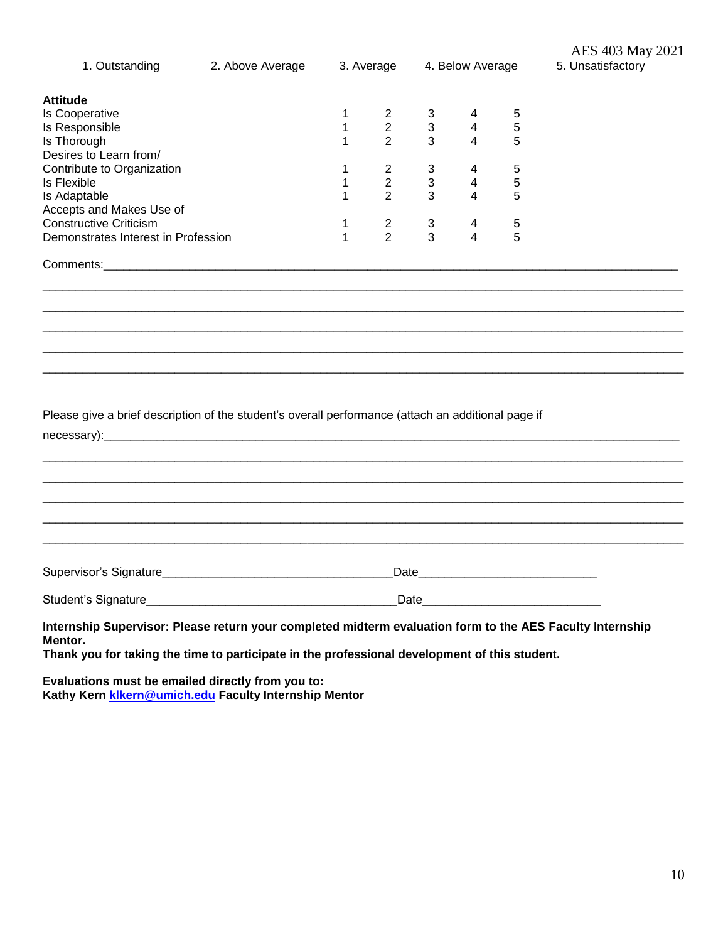| 1. Outstanding                                                                                                                                                                                                        | 2. Above Average |              | 3. Average     | 4. Below Average |   |            | AES 403 May 2021<br>5. Unsatisfactory |  |
|-----------------------------------------------------------------------------------------------------------------------------------------------------------------------------------------------------------------------|------------------|--------------|----------------|------------------|---|------------|---------------------------------------|--|
| <b>Attitude</b>                                                                                                                                                                                                       |                  |              |                |                  |   |            |                                       |  |
| Is Cooperative                                                                                                                                                                                                        |                  | 1            | $2^{\circ}$    | 3 <sup>1</sup>   | 4 | 5          |                                       |  |
| Is Responsible                                                                                                                                                                                                        |                  | $\mathbf{1}$ | $\overline{2}$ | $\mathbf{3}$     | 4 | 5          |                                       |  |
| Is Thorough                                                                                                                                                                                                           |                  | 1            | $\overline{2}$ | $\mathbf{3}$     | 4 | 5          |                                       |  |
| Desires to Learn from/                                                                                                                                                                                                |                  |              |                |                  |   |            |                                       |  |
| Contribute to Organization                                                                                                                                                                                            |                  | $\mathbf 1$  | $\overline{2}$ | $\mathbf{3}$     | 4 | 5          |                                       |  |
| Is Flexible                                                                                                                                                                                                           |                  | $\mathbf 1$  | $\overline{2}$ | $\mathbf{3}$     | 4 | $\sqrt{5}$ |                                       |  |
| Is Adaptable                                                                                                                                                                                                          |                  | $\mathbf 1$  | $\overline{2}$ | 3                | 4 | 5          |                                       |  |
| Accepts and Makes Use of                                                                                                                                                                                              |                  |              |                |                  |   |            |                                       |  |
| <b>Constructive Criticism</b>                                                                                                                                                                                         |                  | 1            | $\overline{2}$ | 3 <sup>7</sup>   | 4 | 5          |                                       |  |
| Demonstrates Interest in Profession                                                                                                                                                                                   |                  | $\mathbf{1}$ | 2              | 3                | 4 | 5          |                                       |  |
|                                                                                                                                                                                                                       |                  |              |                |                  |   |            |                                       |  |
|                                                                                                                                                                                                                       |                  |              |                |                  |   |            |                                       |  |
|                                                                                                                                                                                                                       |                  |              |                |                  |   |            |                                       |  |
|                                                                                                                                                                                                                       |                  |              |                |                  |   |            |                                       |  |
| Please give a brief description of the student's overall performance (attach an additional page if                                                                                                                    |                  |              |                |                  |   |            |                                       |  |
|                                                                                                                                                                                                                       |                  |              |                |                  |   |            |                                       |  |
|                                                                                                                                                                                                                       |                  |              |                |                  |   |            |                                       |  |
|                                                                                                                                                                                                                       |                  |              |                |                  |   |            |                                       |  |
| Internship Supervisor: Please return your completed midterm evaluation form to the AES Faculty Internship<br>Mentor.<br>Thank you for taking the time to participate in the professional development of this student. |                  |              |                |                  |   |            |                                       |  |

**Evaluations must be emailed directly from you to: Kathy Kern [klkern@umich.edu](mailto:klkern@umich.edu) Faculty Internship Mentor**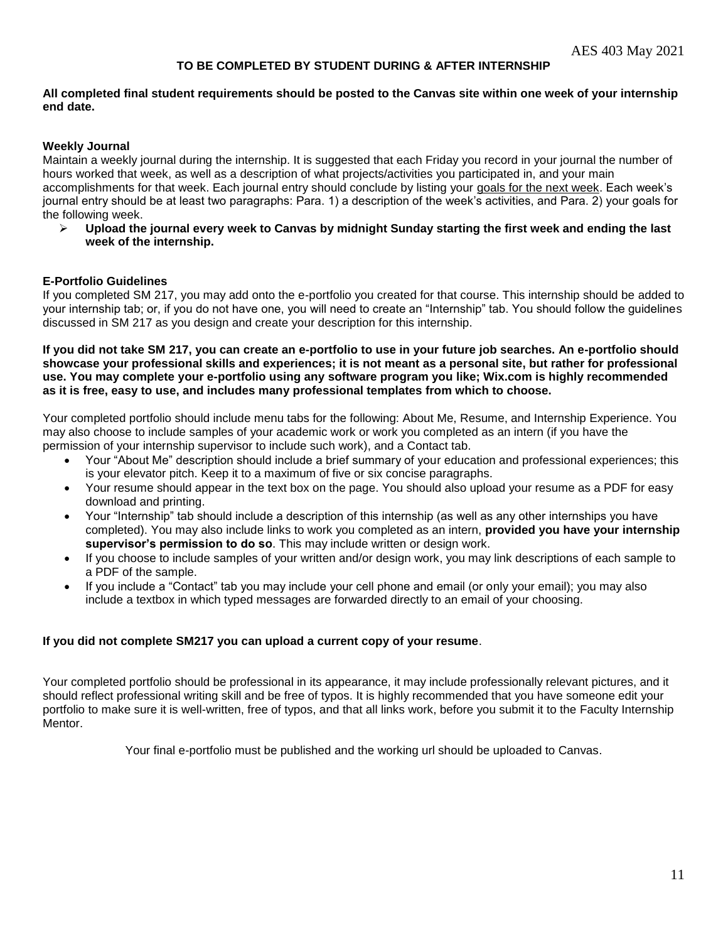# **TO BE COMPLETED BY STUDENT DURING & AFTER INTERNSHIP**

#### **All completed final student requirements should be posted to the Canvas site within one week of your internship end date.**

# **Weekly Journal**

Maintain a weekly journal during the internship. It is suggested that each Friday you record in your journal the number of hours worked that week, as well as a description of what projects/activities you participated in, and your main accomplishments for that week. Each journal entry should conclude by listing your goals for the next week. Each week's journal entry should be at least two paragraphs: Para. 1) a description of the week's activities, and Para. 2) your goals for the following week.

 **Upload the journal every week to Canvas by midnight Sunday starting the first week and ending the last week of the internship.** 

# **E-Portfolio Guidelines**

If you completed SM 217, you may add onto the e-portfolio you created for that course. This internship should be added to your internship tab; or, if you do not have one, you will need to create an "Internship" tab. You should follow the guidelines discussed in SM 217 as you design and create your description for this internship.

**If you did not take SM 217, you can create an e-portfolio to use in your future job searches. An e-portfolio should showcase your professional skills and experiences; it is not meant as a personal site, but rather for professional use. You may complete your e-portfolio using any software program you like; Wix.com is highly recommended as it is free, easy to use, and includes many professional templates from which to choose.**

Your completed portfolio should include menu tabs for the following: About Me, Resume, and Internship Experience. You may also choose to include samples of your academic work or work you completed as an intern (if you have the permission of your internship supervisor to include such work), and a Contact tab.

- Your "About Me" description should include a brief summary of your education and professional experiences; this is your elevator pitch. Keep it to a maximum of five or six concise paragraphs.
- Your resume should appear in the text box on the page. You should also upload your resume as a PDF for easy download and printing.
- Your "Internship" tab should include a description of this internship (as well as any other internships you have completed). You may also include links to work you completed as an intern, **provided you have your internship supervisor's permission to do so**. This may include written or design work.
- If you choose to include samples of your written and/or design work, you may link descriptions of each sample to a PDF of the sample.
- If you include a "Contact" tab you may include your cell phone and email (or only your email); you may also include a textbox in which typed messages are forwarded directly to an email of your choosing.

#### **If you did not complete SM217 you can upload a current copy of your resume**.

Your completed portfolio should be professional in its appearance, it may include professionally relevant pictures, and it should reflect professional writing skill and be free of typos. It is highly recommended that you have someone edit your portfolio to make sure it is well-written, free of typos, and that all links work, before you submit it to the Faculty Internship Mentor.

Your final e-portfolio must be published and the working url should be uploaded to Canvas.